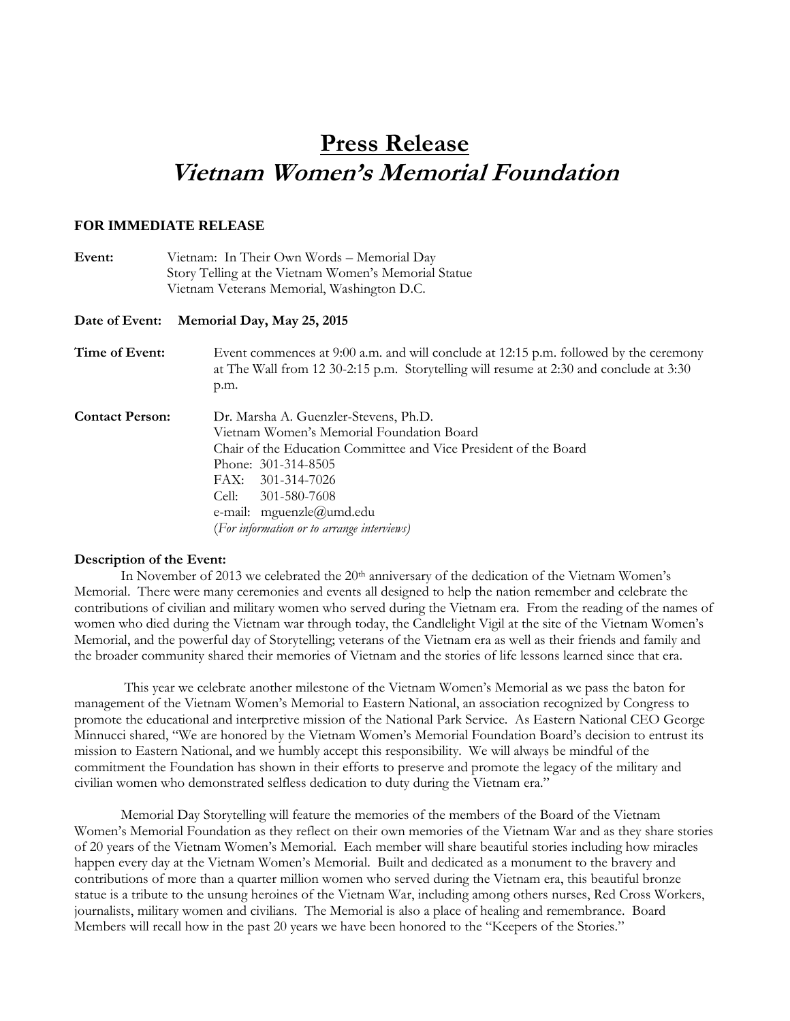## **Press Release Vietnam Women's Memorial Foundation**

## **FOR IMMEDIATE RELEASE**

| Event:                 | Vietnam: In Their Own Words - Memorial Day<br>Story Telling at the Vietnam Women's Memorial Statue                                                                                                                                                                                                    |
|------------------------|-------------------------------------------------------------------------------------------------------------------------------------------------------------------------------------------------------------------------------------------------------------------------------------------------------|
|                        | Vietnam Veterans Memorial, Washington D.C.                                                                                                                                                                                                                                                            |
| Date of Event:         | Memorial Day, May 25, 2015                                                                                                                                                                                                                                                                            |
| Time of Event:         | Event commences at 9:00 a.m. and will conclude at 12:15 p.m. followed by the ceremony<br>at The Wall from 12 30-2:15 p.m. Storytelling will resume at 2:30 and conclude at 3:30<br>p.m.                                                                                                               |
| <b>Contact Person:</b> | Dr. Marsha A. Guenzler-Stevens, Ph.D.<br>Vietnam Women's Memorial Foundation Board<br>Chair of the Education Committee and Vice President of the Board<br>Phone: 301-314-8505<br>FAX: 301-314-7026<br>Cell:<br>301-580-7608<br>e-mail: mguenzle@umd.edu<br>(For information or to arrange interviews) |

## **Description of the Event:**

In November of 2013 we celebrated the 20<sup>th</sup> anniversary of the dedication of the Vietnam Women's Memorial. There were many ceremonies and events all designed to help the nation remember and celebrate the contributions of civilian and military women who served during the Vietnam era. From the reading of the names of women who died during the Vietnam war through today, the Candlelight Vigil at the site of the Vietnam Women's Memorial, and the powerful day of Storytelling; veterans of the Vietnam era as well as their friends and family and the broader community shared their memories of Vietnam and the stories of life lessons learned since that era.

This year we celebrate another milestone of the Vietnam Women's Memorial as we pass the baton for management of the Vietnam Women's Memorial to Eastern National, an association recognized by Congress to promote the educational and interpretive mission of the National Park Service. As Eastern National CEO George Minnucci shared, "We are honored by the Vietnam Women's Memorial Foundation Board's decision to entrust its mission to Eastern National, and we humbly accept this responsibility. We will always be mindful of the commitment the Foundation has shown in their efforts to preserve and promote the legacy of the military and civilian women who demonstrated selfless dedication to duty during the Vietnam era."

Memorial Day Storytelling will feature the memories of the members of the Board of the Vietnam Women's Memorial Foundation as they reflect on their own memories of the Vietnam War and as they share stories of 20 years of the Vietnam Women's Memorial. Each member will share beautiful stories including how miracles happen every day at the Vietnam Women's Memorial. Built and dedicated as a monument to the bravery and contributions of more than a quarter million women who served during the Vietnam era, this beautiful bronze statue is a tribute to the unsung heroines of the Vietnam War, including among others nurses, Red Cross Workers, journalists, military women and civilians. The Memorial is also a place of healing and remembrance. Board Members will recall how in the past 20 years we have been honored to the "Keepers of the Stories."